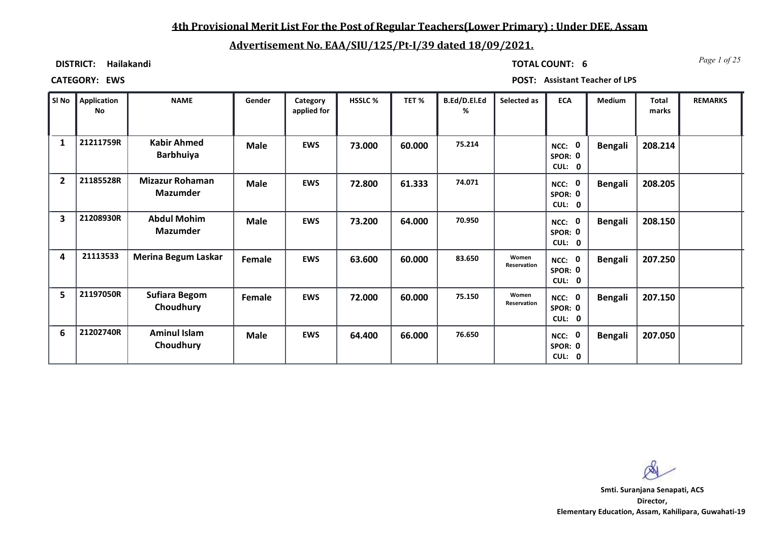## **4th Provisional Merit List For the Post of Regular Teachers(Lower Primary) : Under DEE, Assam**

# **Advertisement No. EAA/SIU/125/Pt-I/39 dated 18/09/2021.**

**DISTRICT: Hailakandi**

*Page 1 of 25* **TOTAL COUNT: 6**

**CATEGORY: EWS POST: Assistant Teacher of LPS**

| SI No          | <b>Application</b><br>No | <b>NAME</b>                               | Gender      | Category<br>applied for | HSSLC % | TET %  | B.Ed/D.El.Ed<br>% | Selected as          | <b>ECA</b>                               | Medium         | <b>Total</b><br>marks | <b>REMARKS</b> |
|----------------|--------------------------|-------------------------------------------|-------------|-------------------------|---------|--------|-------------------|----------------------|------------------------------------------|----------------|-----------------------|----------------|
| 1              | 21211759R                | <b>Kabir Ahmed</b><br><b>Barbhuiya</b>    | <b>Male</b> | <b>EWS</b>              | 73.000  | 60.000 | 75.214            |                      | NCC: 0<br>SPOR: 0<br>CUL: 0              | <b>Bengali</b> | 208.214               |                |
| $\overline{2}$ | 21185528R                | <b>Mizazur Rohaman</b><br><b>Mazumder</b> | <b>Male</b> | <b>EWS</b>              | 72.800  | 61.333 | 74.071            |                      | NCC: 0<br>SPOR: 0<br>CUL:<br>$\mathbf 0$ | <b>Bengali</b> | 208.205               |                |
| 3              | 21208930R                | <b>Abdul Mohim</b><br><b>Mazumder</b>     | <b>Male</b> | <b>EWS</b>              | 73.200  | 64.000 | 70.950            |                      | NCC: 0<br>SPOR: 0<br>CUL: 0              | <b>Bengali</b> | 208.150               |                |
| 4              | 21113533                 | <b>Merina Begum Laskar</b>                | Female      | <b>EWS</b>              | 63.600  | 60.000 | 83.650            | Women<br>Reservation | NCC: 0<br>SPOR: 0<br>CUL:<br>$\mathbf 0$ | <b>Bengali</b> | 207.250               |                |
| 5              | 21197050R                | <b>Sufiara Begom</b><br>Choudhury         | Female      | <b>EWS</b>              | 72.000  | 60.000 | 75.150            | Women<br>Reservation | NCC: 0<br>SPOR: 0<br>CUL:<br>$\mathbf 0$ | <b>Bengali</b> | 207.150               |                |
| 6              | 21202740R                | <b>Aminul Islam</b><br>Choudhury          | <b>Male</b> | <b>EWS</b>              | 64.400  | 66.000 | 76.650            |                      | NCC: 0<br>SPOR: 0<br>CUL:<br>$\mathbf 0$ | <b>Bengali</b> | 207.050               |                |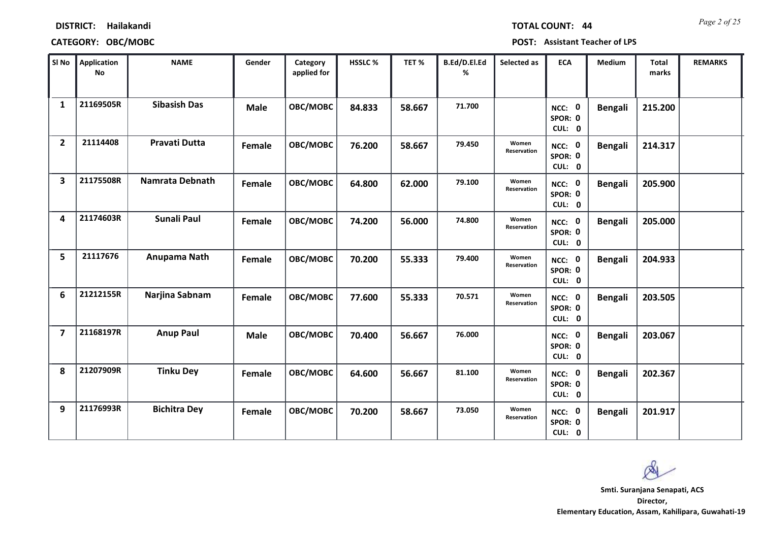|  | <b>TOTAL COUNT:</b> | 4 |
|--|---------------------|---|

| SI No                   | <b>Application</b><br>No | <b>NAME</b>          | Gender      | Category<br>applied for | HSSLC% | TET%   | B.Ed/D.El.Ed<br>% | Selected as          | <b>ECA</b>                  | <b>Medium</b>  | Total<br>marks | <b>REMARKS</b> |
|-------------------------|--------------------------|----------------------|-------------|-------------------------|--------|--------|-------------------|----------------------|-----------------------------|----------------|----------------|----------------|
| 1                       | 21169505R                | <b>Sibasish Das</b>  | <b>Male</b> | OBC/MOBC                | 84.833 | 58.667 | 71.700            |                      | NCC: 0<br>SPOR: 0<br>CUL: 0 | <b>Bengali</b> | 215.200        |                |
| $\overline{2}$          | 21114408                 | <b>Pravati Dutta</b> | Female      | OBC/MOBC                | 76.200 | 58.667 | 79.450            | Women<br>Reservation | NCC: 0<br>SPOR: 0<br>CUL: 0 | <b>Bengali</b> | 214.317        |                |
| 3                       | 21175508R                | Namrata Debnath      | Female      | OBC/MOBC                | 64.800 | 62.000 | 79.100            | Women<br>Reservation | NCC: 0<br>SPOR: 0<br>CUL: 0 | <b>Bengali</b> | 205.900        |                |
| 4                       | 21174603R                | Sunali Paul          | Female      | OBC/MOBC                | 74.200 | 56.000 | 74.800            | Women<br>Reservation | NCC: 0<br>SPOR: 0<br>CUL: 0 | Bengali        | 205.000        |                |
| 5                       | 21117676                 | Anupama Nath         | Female      | OBC/MOBC                | 70.200 | 55.333 | 79.400            | Women<br>Reservation | NCC: 0<br>SPOR: 0<br>CUL: 0 | <b>Bengali</b> | 204.933        |                |
| 6                       | 21212155R                | Narjina Sabnam       | Female      | OBC/MOBC                | 77.600 | 55.333 | 70.571            | Women<br>Reservation | NCC: 0<br>SPOR: 0<br>CUL: 0 | <b>Bengali</b> | 203.505        |                |
| $\overline{\mathbf{z}}$ | 21168197R                | <b>Anup Paul</b>     | <b>Male</b> | OBC/MOBC                | 70.400 | 56.667 | 76.000            |                      | NCC: 0<br>SPOR: 0<br>CUL: 0 | <b>Bengali</b> | 203.067        |                |
| 8                       | 21207909R                | <b>Tinku Dey</b>     | Female      | OBC/MOBC                | 64.600 | 56.667 | 81.100            | Women<br>Reservation | NCC: 0<br>SPOR: 0<br>CUL: 0 | <b>Bengali</b> | 202.367        |                |
| 9                       | 21176993R                | <b>Bichitra Dey</b>  | Female      | OBC/MOBC                | 70.200 | 58.667 | 73.050            | Women<br>Reservation | NCC: 0<br>SPOR: 0<br>CUL: 0 | <b>Bengali</b> | 201.917        |                |

 $\infty$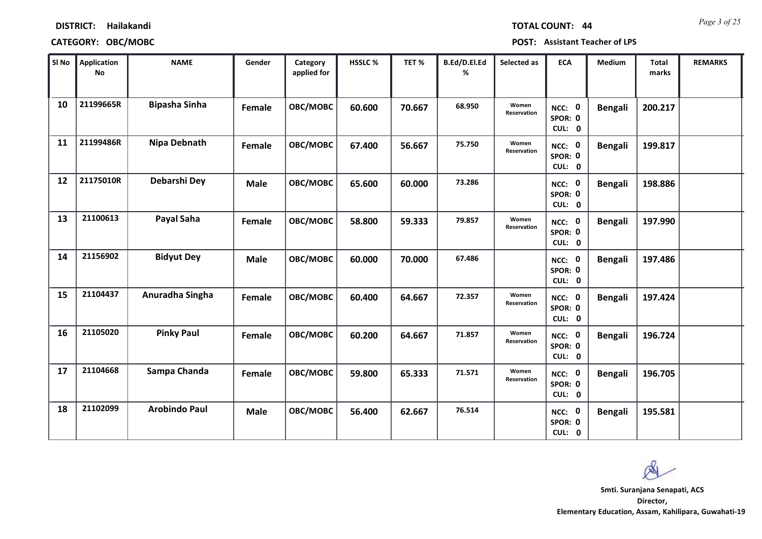| <b>TOTAL COUNT:</b> |  |  | 44 |
|---------------------|--|--|----|
|                     |  |  |    |

| SI No | <b>Application</b><br>No | <b>NAME</b>          | Gender      | Category<br>applied for | HSSLC % | TET%   | B.Ed/D.El.Ed<br>% | Selected as          | <b>ECA</b>                         | Medium         | <b>Total</b><br>marks | <b>REMARKS</b> |
|-------|--------------------------|----------------------|-------------|-------------------------|---------|--------|-------------------|----------------------|------------------------------------|----------------|-----------------------|----------------|
| 10    | 21199665R                | <b>Bipasha Sinha</b> | Female      | OBC/MOBC                | 60.600  | 70.667 | 68.950            | Women<br>Reservation | NCC: 0<br>SPOR: 0<br>CUL: 0        | <b>Bengali</b> | 200.217               |                |
| 11    | 21199486R                | <b>Nipa Debnath</b>  | Female      | OBC/MOBC                | 67.400  | 56.667 | 75.750            | Women<br>Reservation | NCC: 0<br>SPOR: 0<br>CUL: 0        | <b>Bengali</b> | 199.817               |                |
| 12    | 21175010R                | Debarshi Dey         | <b>Male</b> | OBC/MOBC                | 65.600  | 60.000 | 73.286            |                      | <b>NCC: 0</b><br>SPOR: 0<br>CUL: 0 | <b>Bengali</b> | 198.886               |                |
| 13    | 21100613                 | Payal Saha           | Female      | OBC/MOBC                | 58.800  | 59.333 | 79.857            | Women<br>Reservation | NCC: 0<br>SPOR: 0<br>CUL: 0        | <b>Bengali</b> | 197.990               |                |
| 14    | 21156902                 | <b>Bidyut Dey</b>    | <b>Male</b> | OBC/MOBC                | 60.000  | 70.000 | 67.486            |                      | NCC: 0<br>SPOR: 0<br>CUL: 0        | <b>Bengali</b> | 197.486               |                |
| 15    | 21104437                 | Anuradha Singha      | Female      | OBC/MOBC                | 60.400  | 64.667 | 72.357            | Women<br>Reservation | NCC: 0<br>SPOR: 0<br>CUL: 0        | <b>Bengali</b> | 197.424               |                |
| 16    | 21105020                 | <b>Pinky Paul</b>    | Female      | OBC/MOBC                | 60.200  | 64.667 | 71.857            | Women<br>Reservation | NCC: 0<br>SPOR: 0<br>CUL: 0        | <b>Bengali</b> | 196.724               |                |
| 17    | 21104668                 | Sampa Chanda         | Female      | OBC/MOBC                | 59.800  | 65.333 | 71.571            | Women<br>Reservation | NCC: 0<br>SPOR: 0<br>CUL: 0        | <b>Bengali</b> | 196.705               |                |
| 18    | 21102099                 | <b>Arobindo Paul</b> | <b>Male</b> | OBC/MOBC                | 56.400  | 62.667 | 76.514            |                      | NCC: 0<br>SPOR: 0<br>CUL: 0        | <b>Bengali</b> | 195.581               |                |

 $\infty$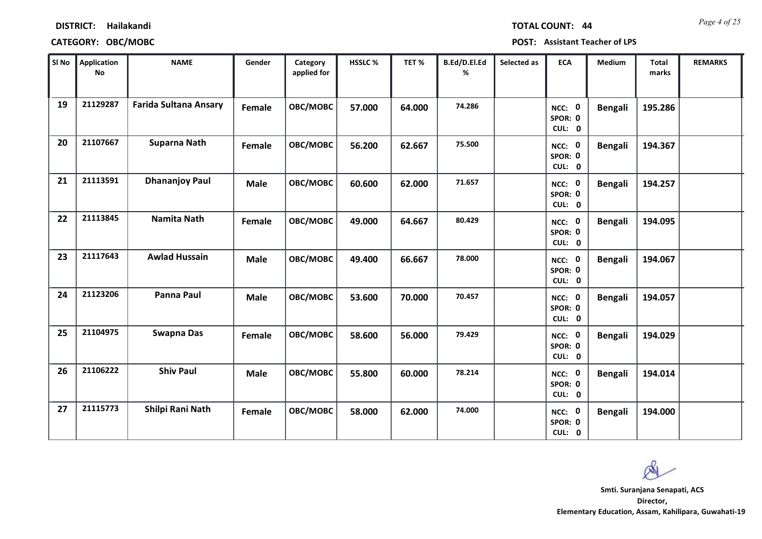| <b>TOTAL COUNT:</b> |  |  | 44 |
|---------------------|--|--|----|
|                     |  |  |    |

### **CATEGORY: OBC/MOBC POST: Assistant Teacher of LPS**

| SI No | <b>Application</b><br>No | <b>NAME</b>                  | Gender      | Category<br>applied for | HSSLC% | TET%   | B.Ed/D.El.Ed<br>% | Selected as | <b>ECA</b>                  | Medium         | <b>Total</b><br>marks | <b>REMARKS</b> |
|-------|--------------------------|------------------------------|-------------|-------------------------|--------|--------|-------------------|-------------|-----------------------------|----------------|-----------------------|----------------|
| 19    | 21129287                 | <b>Farida Sultana Ansary</b> | Female      | OBC/MOBC                | 57.000 | 64.000 | 74.286            |             | NCC: 0<br>SPOR: 0<br>CUL: 0 | <b>Bengali</b> | 195.286               |                |
| 20    | 21107667                 | <b>Suparna Nath</b>          | Female      | OBC/MOBC                | 56.200 | 62.667 | 75.500            |             | NCC: 0<br>SPOR: 0<br>CUL: 0 | <b>Bengali</b> | 194.367               |                |
| 21    | 21113591                 | <b>Dhananjoy Paul</b>        | <b>Male</b> | OBC/MOBC                | 60.600 | 62.000 | 71.657            |             | NCC: 0<br>SPOR: 0<br>CUL: 0 | <b>Bengali</b> | 194.257               |                |
| 22    | 21113845                 | <b>Namita Nath</b>           | Female      | OBC/MOBC                | 49.000 | 64.667 | 80.429            |             | NCC: 0<br>SPOR: 0<br>CUL: 0 | <b>Bengali</b> | 194.095               |                |
| 23    | 21117643                 | <b>Awlad Hussain</b>         | <b>Male</b> | OBC/MOBC                | 49.400 | 66.667 | 78.000            |             | NCC: 0<br>SPOR: 0<br>CUL: 0 | <b>Bengali</b> | 194.067               |                |
| 24    | 21123206                 | Panna Paul                   | <b>Male</b> | OBC/MOBC                | 53.600 | 70.000 | 70.457            |             | NCC: 0<br>SPOR: 0<br>CUL: 0 | <b>Bengali</b> | 194.057               |                |
| 25    | 21104975                 | <b>Swapna Das</b>            | Female      | OBC/MOBC                | 58.600 | 56.000 | 79.429            |             | NCC: 0<br>SPOR: 0<br>CUL: 0 | <b>Bengali</b> | 194.029               |                |
| 26    | 21106222                 | <b>Shiv Paul</b>             | <b>Male</b> | OBC/MOBC                | 55.800 | 60.000 | 78.214            |             | NCC: 0<br>SPOR: 0<br>CUL: 0 | <b>Bengali</b> | 194.014               |                |
| 27    | 21115773                 | Shilpi Rani Nath             | Female      | OBC/MOBC                | 58.000 | 62.000 | 74.000            |             | NCC: 0<br>SPOR: 0<br>CUL: 0 | <b>Bengali</b> | 194.000               |                |

 $\infty$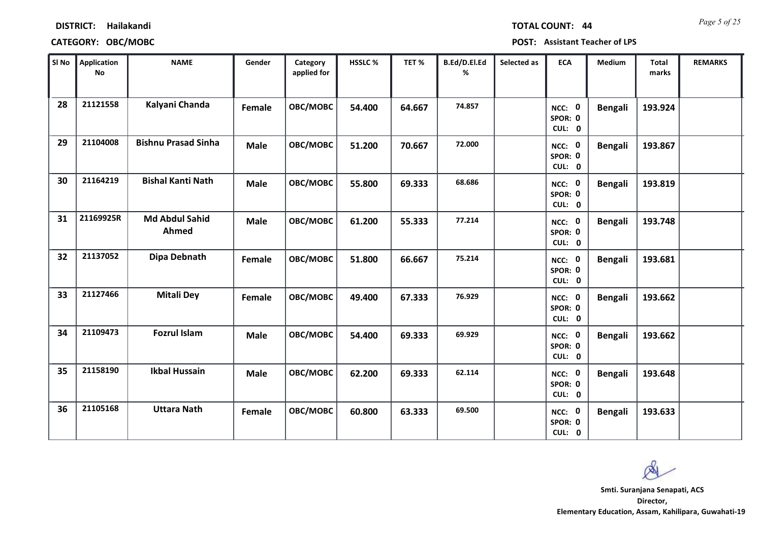|  |  | <b>TOTAL COUNT: 44</b> |
|--|--|------------------------|
|  |  |                        |

| SI No | <b>Application</b><br>No | <b>NAME</b>                    | Gender      | Category<br>applied for | HSSLC % | TET%   | B.Ed/D.El.Ed<br>% | Selected as | <b>ECA</b>                  | Medium         | <b>Total</b><br>marks | <b>REMARKS</b> |
|-------|--------------------------|--------------------------------|-------------|-------------------------|---------|--------|-------------------|-------------|-----------------------------|----------------|-----------------------|----------------|
| 28    | 21121558                 | Kalyani Chanda                 | Female      | OBC/MOBC                | 54.400  | 64.667 | 74.857            |             | NCC: 0<br>SPOR: 0<br>CUL: 0 | <b>Bengali</b> | 193.924               |                |
| 29    | 21104008                 | <b>Bishnu Prasad Sinha</b>     | <b>Male</b> | OBC/MOBC                | 51.200  | 70.667 | 72.000            |             | NCC: 0<br>SPOR: 0<br>CUL: 0 | <b>Bengali</b> | 193.867               |                |
| 30    | 21164219                 | <b>Bishal Kanti Nath</b>       | <b>Male</b> | OBC/MOBC                | 55.800  | 69.333 | 68.686            |             | NCC: 0<br>SPOR: 0<br>CUL: 0 | <b>Bengali</b> | 193.819               |                |
| 31    | 21169925R                | <b>Md Abdul Sahid</b><br>Ahmed | <b>Male</b> | OBC/MOBC                | 61.200  | 55.333 | 77.214            |             | NCC: 0<br>SPOR: 0<br>CUL: 0 | <b>Bengali</b> | 193.748               |                |
| 32    | 21137052                 | Dipa Debnath                   | Female      | OBC/MOBC                | 51.800  | 66.667 | 75.214            |             | NCC: 0<br>SPOR: 0<br>CUL: 0 | <b>Bengali</b> | 193.681               |                |
| 33    | 21127466                 | <b>Mitali Dey</b>              | Female      | OBC/MOBC                | 49.400  | 67.333 | 76.929            |             | NCC: 0<br>SPOR: 0<br>CUL: 0 | <b>Bengali</b> | 193.662               |                |
| 34    | 21109473                 | <b>Fozrul Islam</b>            | <b>Male</b> | OBC/MOBC                | 54.400  | 69.333 | 69.929            |             | NCC: 0<br>SPOR: 0<br>CUL: 0 | <b>Bengali</b> | 193.662               |                |
| 35    | 21158190                 | <b>Ikbal Hussain</b>           | <b>Male</b> | OBC/MOBC                | 62.200  | 69.333 | 62.114            |             | NCC: 0<br>SPOR: 0<br>CUL: 0 | <b>Bengali</b> | 193.648               |                |
| 36    | 21105168                 | <b>Uttara Nath</b>             | Female      | OBC/MOBC                | 60.800  | 63.333 | 69.500            |             | NCC: 0<br>SPOR: 0<br>CUL: 0 | <b>Bengali</b> | 193.633               |                |

 $\infty$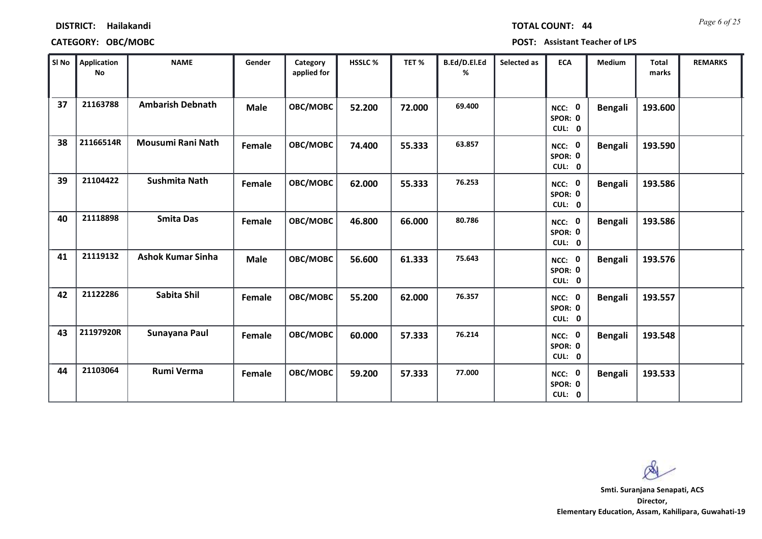|  | TOTAL COUNT: |  | 44 |
|--|--------------|--|----|
|  |              |  |    |

| SI No | <b>Application</b><br>No | <b>NAME</b>              | Gender      | Category<br>applied for | HSSLC % | TET %  | B.Ed/D.El.Ed<br>% | Selected as | <b>ECA</b>                  | <b>Medium</b>  | <b>Total</b><br>marks | <b>REMARKS</b> |
|-------|--------------------------|--------------------------|-------------|-------------------------|---------|--------|-------------------|-------------|-----------------------------|----------------|-----------------------|----------------|
| 37    | 21163788                 | <b>Ambarish Debnath</b>  | <b>Male</b> | OBC/MOBC                | 52.200  | 72.000 | 69.400            |             | NCC: 0<br>SPOR: 0<br>CUL: 0 | <b>Bengali</b> | 193.600               |                |
| 38    | 21166514R                | Mousumi Rani Nath        | Female      | OBC/MOBC                | 74.400  | 55.333 | 63.857            |             | NCC: 0<br>SPOR: 0<br>CUL: 0 | <b>Bengali</b> | 193.590               |                |
| 39    | 21104422                 | Sushmita Nath            | Female      | OBC/MOBC                | 62.000  | 55.333 | 76.253            |             | NCC: 0<br>SPOR: 0<br>CUL: 0 | <b>Bengali</b> | 193.586               |                |
| 40    | 21118898                 | <b>Smita Das</b>         | Female      | OBC/MOBC                | 46.800  | 66.000 | 80.786            |             | NCC: 0<br>SPOR: 0<br>CUL: 0 | <b>Bengali</b> | 193.586               |                |
| 41    | 21119132                 | <b>Ashok Kumar Sinha</b> | <b>Male</b> | OBC/MOBC                | 56.600  | 61.333 | 75.643            |             | NCC: 0<br>SPOR: 0<br>CUL: 0 | <b>Bengali</b> | 193.576               |                |
| 42    | 21122286                 | Sabita Shil              | Female      | OBC/MOBC                | 55.200  | 62.000 | 76.357            |             | NCC: 0<br>SPOR: 0<br>CUL: 0 | <b>Bengali</b> | 193.557               |                |
| 43    | 21197920R                | Sunayana Paul            | Female      | OBC/MOBC                | 60.000  | 57.333 | 76.214            |             | NCC: 0<br>SPOR: 0<br>CUL: 0 | <b>Bengali</b> | 193.548               |                |
| 44    | 21103064                 | <b>Rumi Verma</b>        | Female      | OBC/MOBC                | 59.200  | 57.333 | 77.000            |             | NCC: 0<br>SPOR: 0<br>CUL: 0 | <b>Bengali</b> | 193.533               |                |

 $\infty$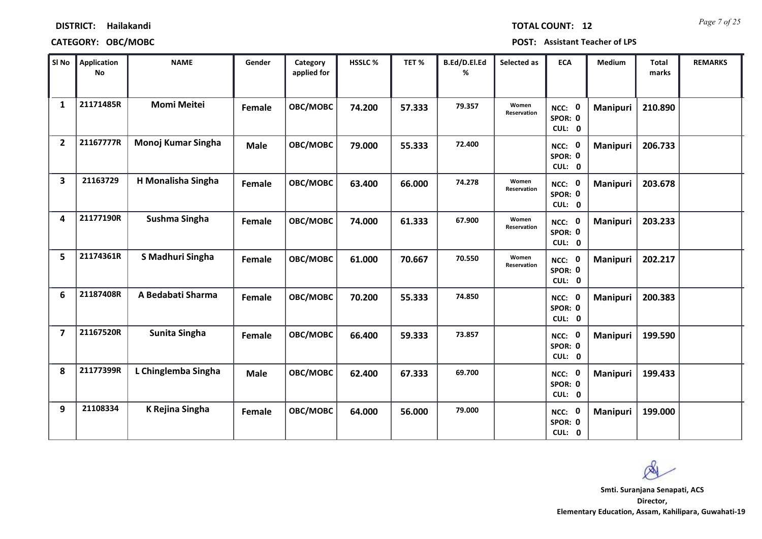| <b>TOTAL COUNT:</b> |  |  | 1. |
|---------------------|--|--|----|
|                     |  |  |    |

| SI No                   | <b>Application</b><br>No | <b>NAME</b>          | Gender        | Category<br>applied for | HSSLC % | TET %  | B.Ed/D.El.Ed<br>% | Selected as          | <b>ECA</b>                     | <b>Medium</b>   | <b>Total</b><br>marks | <b>REMARKS</b> |
|-------------------------|--------------------------|----------------------|---------------|-------------------------|---------|--------|-------------------|----------------------|--------------------------------|-----------------|-----------------------|----------------|
| $\mathbf{1}$            | 21171485R                | <b>Momi Meitei</b>   | Female        | OBC/MOBC                | 74.200  | 57.333 | 79.357            | Women<br>Reservation | NCC: 0<br>SPOR: 0<br>CUL: 0    | Manipuri        | 210.890               |                |
| $\overline{2}$          | 21167777R                | Monoj Kumar Singha   | <b>Male</b>   | OBC/MOBC                | 79.000  | 55.333 | 72.400            |                      | NCC: 0<br>SPOR: 0<br>CUL: 0    | Manipuri        | 206.733               |                |
| 3                       | 21163729                 | H Monalisha Singha   | Female        | OBC/MOBC                | 63.400  | 66.000 | 74.278            | Women<br>Reservation | NCC: 0<br>SPOR: 0<br>CUL: 0    | Manipuri        | 203.678               |                |
| 4                       | 21177190R                | Sushma Singha        | Female        | OBC/MOBC                | 74.000  | 61.333 | 67.900            | Women<br>Reservation | NCC: 0<br>SPOR: 0<br>CUL: 0    | Manipuri        | 203.233               |                |
| 5                       | 21174361R                | S Madhuri Singha     | Female        | OBC/MOBC                | 61.000  | 70.667 | 70.550            | Women<br>Reservation | NCC: 0<br>SPOR: 0<br>CUL: 0    | Manipuri        | 202.217               |                |
| 6                       | 21187408R                | A Bedabati Sharma    | Female        | OBC/MOBC                | 70.200  | 55.333 | 74.850            |                      | NCC: 0<br>SPOR: 0<br>CUL: 0    | Manipuri        | 200.383               |                |
| $\overline{\mathbf{z}}$ | 21167520R                | <b>Sunita Singha</b> | <b>Female</b> | OBC/MOBC                | 66.400  | 59.333 | 73.857            |                      | NCC: 0<br>SPOR: 0<br>CUL: 0    | <b>Manipuri</b> | 199.590               |                |
| 8                       | 21177399R                | L Chinglemba Singha  | <b>Male</b>   | OBC/MOBC                | 62.400  | 67.333 | 69.700            |                      | NCC: 0<br>SPOR: 0<br>CUL: 0    | Manipuri        | 199.433               |                |
| 9                       | 21108334                 | K Rejina Singha      | Female        | OBC/MOBC                | 64.000  | 56.000 | 79.000            |                      | 0<br>NCC:<br>SPOR: 0<br>CUL: 0 | <b>Manipuri</b> | 199.000               |                |

 $\infty$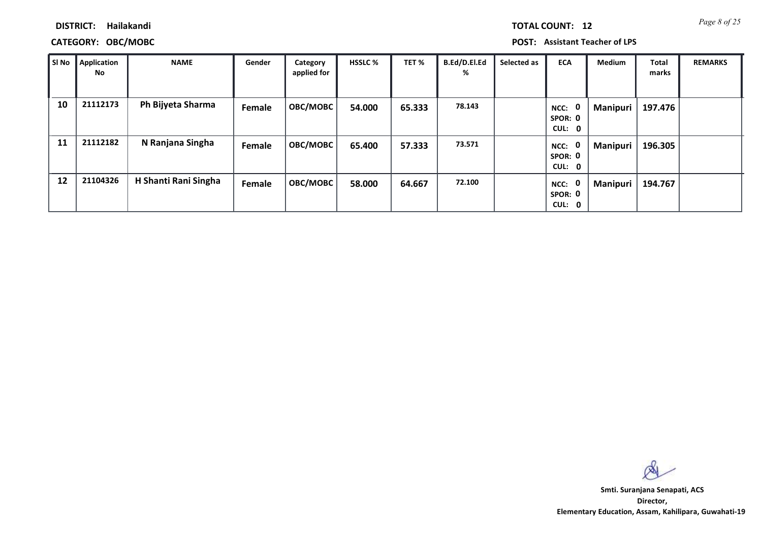*Page 8 of 25* **TOTAL COUNT: 12**

**DISTRICT: Hailakandi**

### **CATEGORY: OBC/MOBC POST: Assistant Teacher of LPS**

| SI No | Application<br>No | <b>NAME</b>          | Gender        | Category<br>applied for | <b>HSSLC %</b> | TET %  | B.Ed/D.El.Ed<br>% | Selected as | <b>ECA</b>                       | <b>Medium</b>   | <b>Total</b><br>marks | <b>REMARKS</b> |
|-------|-------------------|----------------------|---------------|-------------------------|----------------|--------|-------------------|-------------|----------------------------------|-----------------|-----------------------|----------------|
| 10    | 21112173          | Ph Bijyeta Sharma    | Female        | OBC/MOBC                | 54.000         | 65.333 | 78.143            |             | 0<br>NCC:<br>SPOR: 0<br>CUL: 0   | <b>Manipuri</b> | 197.476               |                |
| 11    | 21112182          | N Ranjana Singha     | Female        | OBC/MOBC                | 65.400         | 57.333 | 73.571            |             | - 0<br>NCC:<br>SPOR: 0<br>CUL: 0 | Manipuri        | 196.305               |                |
| 12    | 21104326          | H Shanti Rani Singha | <b>Female</b> | OBC/MOBC                | 58.000         | 64.667 | 72.100            |             | 0<br>NCC:<br>SPOR: 0<br>CUL: 0   | <b>Manipuri</b> | 194.767               |                |

 $\infty$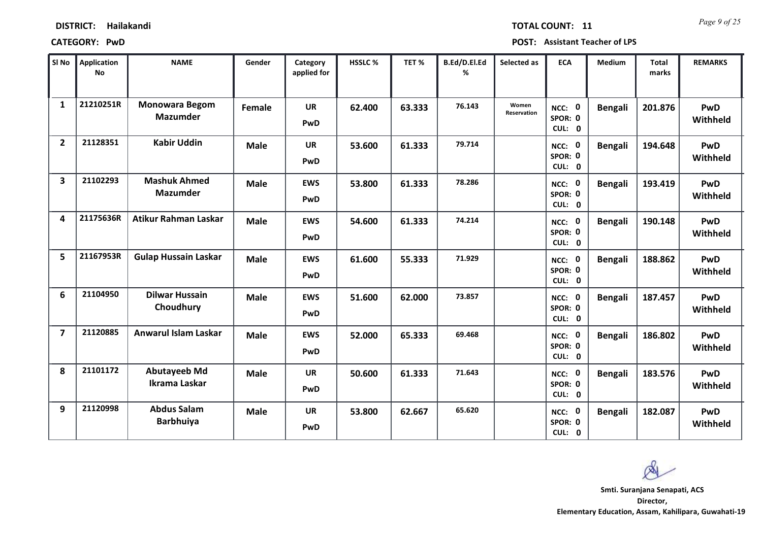*Page 9 of 25* **TOTAL COUNT: 11**

| SI No                   | <b>Application</b><br>No | <b>NAME</b>                              | Gender        | Category<br>applied for | HSSLC % | TET %  | B.Ed/D.El.Ed<br>% | Selected as          | <b>ECA</b>                  | Medium         | Total<br>marks | <b>REMARKS</b>         |
|-------------------------|--------------------------|------------------------------------------|---------------|-------------------------|---------|--------|-------------------|----------------------|-----------------------------|----------------|----------------|------------------------|
| $\mathbf{1}$            | 21210251R                | <b>Monowara Begom</b><br><b>Mazumder</b> | <b>Female</b> | <b>UR</b><br>PwD        | 62.400  | 63.333 | 76.143            | Women<br>Reservation | NCC: 0<br>SPOR: 0<br>CUL: 0 | <b>Bengali</b> | 201.876        | <b>PwD</b><br>Withheld |
| $\overline{2}$          | 21128351                 | <b>Kabir Uddin</b>                       | <b>Male</b>   | <b>UR</b><br>PwD        | 53.600  | 61.333 | 79.714            |                      | NCC: 0<br>SPOR: 0<br>CUL: 0 | <b>Bengali</b> | 194.648        | <b>PwD</b><br>Withheld |
| $\overline{\mathbf{3}}$ | 21102293                 | <b>Mashuk Ahmed</b><br><b>Mazumder</b>   | <b>Male</b>   | <b>EWS</b><br>PwD       | 53.800  | 61.333 | 78.286            |                      | NCC: 0<br>SPOR: 0<br>CUL: 0 | <b>Bengali</b> | 193.419        | <b>PwD</b><br>Withheld |
| 4                       | 21175636R                | Atikur Rahman Laskar                     | <b>Male</b>   | <b>EWS</b><br>PwD       | 54.600  | 61.333 | 74.214            |                      | NCC: 0<br>SPOR: 0<br>CUL: 0 | <b>Bengali</b> | 190.148        | PwD<br>Withheld        |
| 5                       | 21167953R                | <b>Gulap Hussain Laskar</b>              | <b>Male</b>   | <b>EWS</b><br>PwD       | 61.600  | 55.333 | 71.929            |                      | NCC: 0<br>SPOR: 0<br>CUL: 0 | <b>Bengali</b> | 188.862        | <b>PwD</b><br>Withheld |
| 6                       | 21104950                 | <b>Dilwar Hussain</b><br>Choudhury       | <b>Male</b>   | <b>EWS</b><br>PwD       | 51.600  | 62.000 | 73.857            |                      | NCC: 0<br>SPOR: 0<br>CUL: 0 | <b>Bengali</b> | 187.457        | <b>PwD</b><br>Withheld |
| $\overline{\mathbf{z}}$ | 21120885                 | <b>Anwarul Islam Laskar</b>              | <b>Male</b>   | <b>EWS</b><br>PwD       | 52.000  | 65.333 | 69.468            |                      | NCC: 0<br>SPOR: 0<br>CUL: 0 | Bengali        | 186.802        | PwD<br>Withheld        |
| 8                       | 21101172                 | <b>Abutayeeb Md</b><br>Ikrama Laskar     | <b>Male</b>   | <b>UR</b><br>PwD        | 50.600  | 61.333 | 71.643            |                      | NCC: 0<br>SPOR: 0<br>CUL: 0 | <b>Bengali</b> | 183.576        | <b>PwD</b><br>Withheld |
| 9                       | 21120998                 | <b>Abdus Salam</b><br><b>Barbhuiya</b>   | <b>Male</b>   | <b>UR</b><br>PwD        | 53.800  | 62.667 | 65.620            |                      | NCC: 0<br>SPOR: 0<br>CUL: 0 | Bengali        | 182.087        | <b>PwD</b><br>Withheld |

Ø **Smti. Suranjana Senapati, ACS**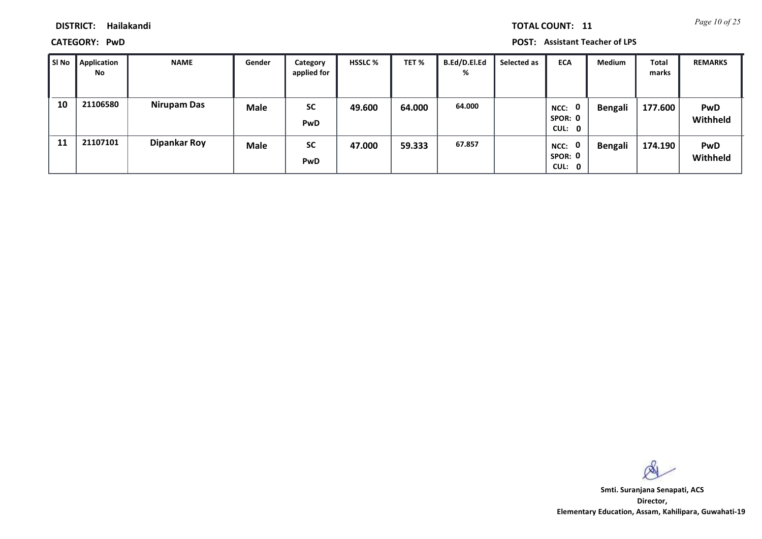*Page 10 of 25* **TOTAL COUNT: 11**

**DISTRICT: Hailakandi**

**CATEGORY: PwD POST: Assistant Teacher of LPS**

| SI No | Application<br>No | <b>NAME</b>        | Gender      | Category<br>applied for | <b>HSSLC %</b> | TET %  | B.Ed/D.El.Ed<br>% | Selected as | <b>ECA</b>                               | Medium  | <b>Total</b><br>marks | <b>REMARKS</b>         |
|-------|-------------------|--------------------|-------------|-------------------------|----------------|--------|-------------------|-------------|------------------------------------------|---------|-----------------------|------------------------|
| 10    | 21106580          | <b>Nirupam Das</b> | <b>Male</b> | <b>SC</b><br><b>PwD</b> | 49.600         | 64.000 | 64.000            |             | $\mathbf 0$<br>NCC:<br>SPOR: 0<br>CUL: 0 | Bengali | 177.600               | <b>PwD</b><br>Withheld |
| 11    | 21107101          | Dipankar Roy       | <b>Male</b> | <b>SC</b><br><b>PwD</b> | 47.000         | 59.333 | 67.857            |             | 0<br>NCC:<br>SPOR: 0<br>CUL: 0           | Bengali | 174.190               | <b>PwD</b><br>Withheld |

 $\infty$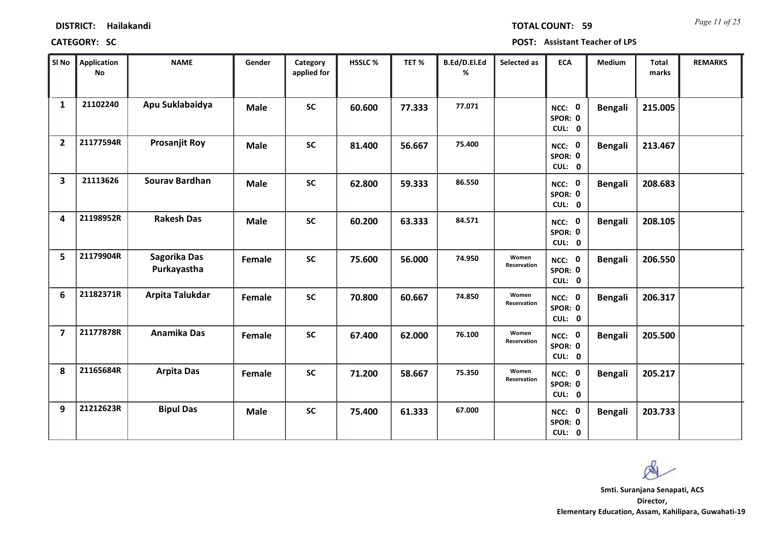*Page 11 of 25* **TOTAL COUNT: 59**

| SI No                   | <b>Application</b><br>No | <b>NAME</b>                 | Gender      | Category<br>applied for | <b>HSSLC%</b> | TET %  | B.Ed/D.El.Ed<br>% | Selected as          | <b>ECA</b>                  | Medium         | <b>Total</b><br>marks | <b>REMARKS</b> |
|-------------------------|--------------------------|-----------------------------|-------------|-------------------------|---------------|--------|-------------------|----------------------|-----------------------------|----------------|-----------------------|----------------|
| $\mathbf{1}$            | 21102240                 | Apu Suklabaidya             | <b>Male</b> | <b>SC</b>               | 60.600        | 77.333 | 77.071            |                      | NCC: 0<br>SPOR: 0<br>CUL: 0 | <b>Bengali</b> | 215.005               |                |
| $\overline{2}$          | 21177594R                | <b>Prosanjit Roy</b>        | <b>Male</b> | <b>SC</b>               | 81.400        | 56.667 | 75.400            |                      | NCC: 0<br>SPOR: 0<br>CUL: 0 | <b>Bengali</b> | 213.467               |                |
| $\overline{\mathbf{3}}$ | 21113626                 | <b>Sourav Bardhan</b>       | <b>Male</b> | <b>SC</b>               | 62.800        | 59.333 | 86.550            |                      | NCC: 0<br>SPOR: 0<br>CUL: 0 | <b>Bengali</b> | 208.683               |                |
| 4                       | 21198952R                | <b>Rakesh Das</b>           | <b>Male</b> | <b>SC</b>               | 60.200        | 63.333 | 84.571            |                      | NCC: 0<br>SPOR: 0<br>CUL: 0 | <b>Bengali</b> | 208.105               |                |
| 5                       | 21179904R                | Sagorika Das<br>Purkayastha | Female      | <b>SC</b>               | 75.600        | 56.000 | 74.950            | Women<br>Reservation | NCC: 0<br>SPOR: 0<br>CUL: 0 | <b>Bengali</b> | 206.550               |                |
| 6                       | 21182371R                | Arpita Talukdar             | Female      | <b>SC</b>               | 70.800        | 60.667 | 74.850            | Women<br>Reservation | NCC: 0<br>SPOR: 0<br>CUL: 0 | <b>Bengali</b> | 206.317               |                |
| $\overline{7}$          | 21177878R                | Anamika Das                 | Female      | <b>SC</b>               | 67.400        | 62.000 | 76.100            | Women<br>Reservation | NCC: 0<br>SPOR: 0<br>CUL: 0 | <b>Bengali</b> | 205.500               |                |
| 8                       | 21165684R                | <b>Arpita Das</b>           | Female      | <b>SC</b>               | 71.200        | 58.667 | 75.350            | Women<br>Reservation | NCC: 0<br>SPOR: 0<br>CUL: 0 | <b>Bengali</b> | 205.217               |                |
| 9                       | 21212623R                | <b>Bipul Das</b>            | <b>Male</b> | <b>SC</b>               | 75.400        | 61.333 | 67.000            |                      | NCC: 0<br>SPOR: 0<br>CUL: 0 | <b>Bengali</b> | 203.733               |                |

 $\infty$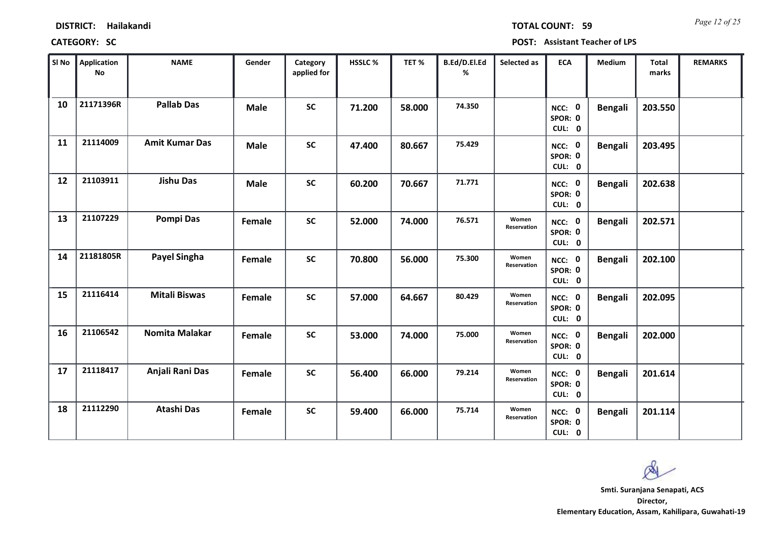*Page 12 of 25* **TOTAL COUNT: 59**

| SI No | <b>Application</b><br>No | <b>NAME</b>           | Gender        | Category<br>applied for | <b>HSSLC%</b> | TET %  | B.Ed/D.El.Ed<br>% | Selected as          | <b>ECA</b>                  | <b>Medium</b>  | <b>Total</b><br>marks | <b>REMARKS</b> |
|-------|--------------------------|-----------------------|---------------|-------------------------|---------------|--------|-------------------|----------------------|-----------------------------|----------------|-----------------------|----------------|
| 10    | 21171396R                | <b>Pallab Das</b>     | <b>Male</b>   | <b>SC</b>               | 71.200        | 58.000 | 74.350            |                      | NCC: 0<br>SPOR: 0<br>CUL: 0 | <b>Bengali</b> | 203.550               |                |
| 11    | 21114009                 | <b>Amit Kumar Das</b> | <b>Male</b>   | <b>SC</b>               | 47.400        | 80.667 | 75.429            |                      | NCC: 0<br>SPOR: 0<br>CUL: 0 | <b>Bengali</b> | 203.495               |                |
| 12    | 21103911                 | <b>Jishu Das</b>      | <b>Male</b>   | <b>SC</b>               | 60.200        | 70.667 | 71.771            |                      | NCC: 0<br>SPOR: 0<br>CUL: 0 | <b>Bengali</b> | 202.638               |                |
| 13    | 21107229                 | <b>Pompi Das</b>      | Female        | <b>SC</b>               | 52.000        | 74.000 | 76.571            | Women<br>Reservation | NCC: 0<br>SPOR: 0<br>CUL: 0 | <b>Bengali</b> | 202.571               |                |
| 14    | 21181805R                | Payel Singha          | Female        | <b>SC</b>               | 70.800        | 56.000 | 75.300            | Women<br>Reservation | NCC: 0<br>SPOR: 0<br>CUL: 0 | <b>Bengali</b> | 202.100               |                |
| 15    | 21116414                 | <b>Mitali Biswas</b>  | Female        | <b>SC</b>               | 57.000        | 64.667 | 80.429            | Women<br>Reservation | NCC: 0<br>SPOR: 0<br>CUL: 0 | <b>Bengali</b> | 202.095               |                |
| 16    | 21106542                 | Nomita Malakar        | <b>Female</b> | <b>SC</b>               | 53.000        | 74.000 | 75.000            | Women<br>Reservation | NCC: 0<br>SPOR: 0<br>CUL: 0 | <b>Bengali</b> | 202.000               |                |
| 17    | 21118417                 | Anjali Rani Das       | Female        | <b>SC</b>               | 56.400        | 66.000 | 79.214            | Women<br>Reservation | NCC: 0<br>SPOR: 0<br>CUL: 0 | <b>Bengali</b> | 201.614               |                |
| 18    | 21112290                 | <b>Atashi Das</b>     | Female        | <b>SC</b>               | 59.400        | 66.000 | 75.714            | Women<br>Reservation | NCC: 0<br>SPOR: 0<br>CUL: 0 | <b>Bengali</b> | 201.114               |                |

 $\infty$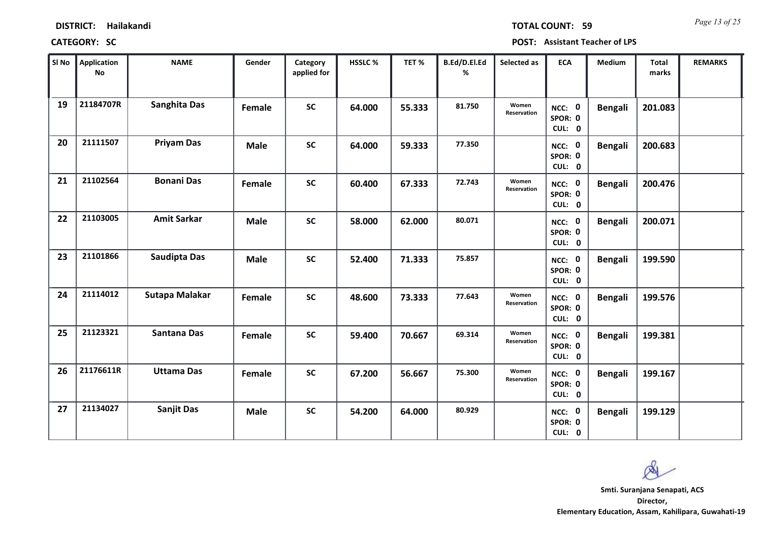| <b>DISTRICT:</b> | Hailakandi |
|------------------|------------|
|------------------|------------|

*Page 13 of 25* **TOTAL COUNT: 59**

| SI No | <b>Application</b><br>No | <b>NAME</b>           | Gender      | Category<br>applied for | <b>HSSLC %</b> | TET %  | B.Ed/D.El.Ed<br>% | Selected as          | <b>ECA</b>                  | <b>Medium</b>  | Total<br>marks | <b>REMARKS</b> |
|-------|--------------------------|-----------------------|-------------|-------------------------|----------------|--------|-------------------|----------------------|-----------------------------|----------------|----------------|----------------|
| 19    | 21184707R                | <b>Sanghita Das</b>   | Female      | <b>SC</b>               | 64.000         | 55.333 | 81.750            | Women<br>Reservation | NCC: 0<br>SPOR: 0<br>CUL: 0 | <b>Bengali</b> | 201.083        |                |
| 20    | 21111507                 | <b>Priyam Das</b>     | <b>Male</b> | <b>SC</b>               | 64.000         | 59.333 | 77.350            |                      | NCC: 0<br>SPOR: 0<br>CUL: 0 | <b>Bengali</b> | 200.683        |                |
| 21    | 21102564                 | <b>Bonani Das</b>     | Female      | <b>SC</b>               | 60.400         | 67.333 | 72.743            | Women<br>Reservation | NCC: 0<br>SPOR: 0<br>CUL: 0 | <b>Bengali</b> | 200.476        |                |
| 22    | 21103005                 | <b>Amit Sarkar</b>    | <b>Male</b> | <b>SC</b>               | 58.000         | 62.000 | 80.071            |                      | NCC: 0<br>SPOR: 0<br>CUL: 0 | <b>Bengali</b> | 200.071        |                |
| 23    | 21101866                 | <b>Saudipta Das</b>   | <b>Male</b> | <b>SC</b>               | 52.400         | 71.333 | 75.857            |                      | NCC: 0<br>SPOR: 0<br>CUL: 0 | <b>Bengali</b> | 199.590        |                |
| 24    | 21114012                 | <b>Sutapa Malakar</b> | Female      | <b>SC</b>               | 48.600         | 73.333 | 77.643            | Women<br>Reservation | NCC: 0<br>SPOR: 0<br>CUL: 0 | <b>Bengali</b> | 199.576        |                |
| 25    | 21123321                 | Santana Das           | Female      | <b>SC</b>               | 59.400         | 70.667 | 69.314            | Women<br>Reservation | NCC: 0<br>SPOR: 0<br>CUL: 0 | <b>Bengali</b> | 199.381        |                |
| 26    | 21176611R                | <b>Uttama Das</b>     | Female      | <b>SC</b>               | 67.200         | 56.667 | 75.300            | Women<br>Reservation | NCC: 0<br>SPOR: 0<br>CUL: 0 | <b>Bengali</b> | 199.167        |                |
| 27    | 21134027                 | <b>Sanjit Das</b>     | <b>Male</b> | <b>SC</b>               | 54.200         | 64.000 | 80.929            |                      | NCC: 0<br>SPOR: 0<br>CUL: 0 | <b>Bengali</b> | 199.129        |                |

 $\infty$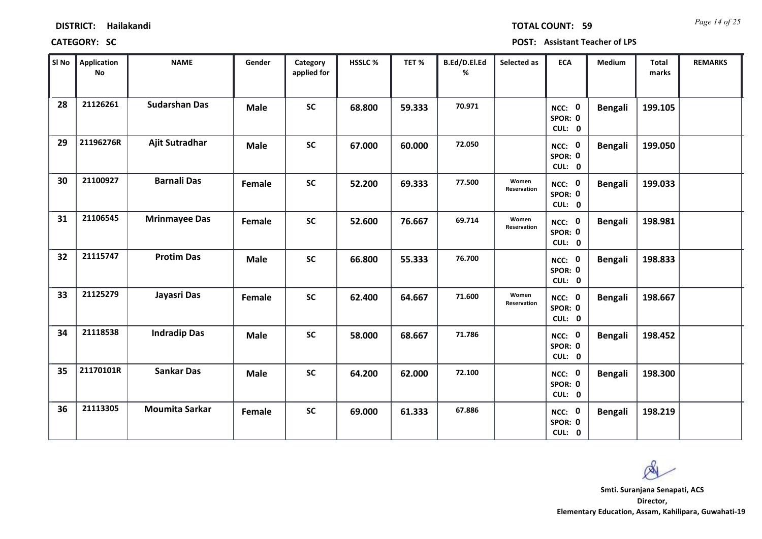| <b>DISTRICT:</b> | Hailakandi |
|------------------|------------|
|------------------|------------|

*Page 14 of 25* **TOTAL COUNT: 59**

| SI No | <b>Application</b><br>No | <b>NAME</b>           | Gender      | Category<br>applied for | HSSLC % | TET %  | B.Ed/D.El.Ed<br>% | Selected as          | <b>ECA</b>                  | Medium         | <b>Total</b><br>marks | <b>REMARKS</b> |
|-------|--------------------------|-----------------------|-------------|-------------------------|---------|--------|-------------------|----------------------|-----------------------------|----------------|-----------------------|----------------|
| 28    | 21126261                 | <b>Sudarshan Das</b>  | <b>Male</b> | <b>SC</b>               | 68.800  | 59.333 | 70.971            |                      | NCC: 0<br>SPOR: 0<br>CUL: 0 | <b>Bengali</b> | 199.105               |                |
| 29    | 21196276R                | Ajit Sutradhar        | <b>Male</b> | <b>SC</b>               | 67.000  | 60.000 | 72.050            |                      | NCC: 0<br>SPOR: 0<br>CUL: 0 | <b>Bengali</b> | 199.050               |                |
| 30    | 21100927                 | <b>Barnali Das</b>    | Female      | $\mathsf{SC}$           | 52.200  | 69.333 | 77.500            | Women<br>Reservation | NCC: 0<br>SPOR: 0<br>CUL: 0 | <b>Bengali</b> | 199.033               |                |
| 31    | 21106545                 | <b>Mrinmayee Das</b>  | Female      | <b>SC</b>               | 52.600  | 76.667 | 69.714            | Women<br>Reservation | NCC: 0<br>SPOR: 0<br>CUL: 0 | <b>Bengali</b> | 198.981               |                |
| 32    | 21115747                 | <b>Protim Das</b>     | <b>Male</b> | <b>SC</b>               | 66.800  | 55.333 | 76.700            |                      | NCC: 0<br>SPOR: 0<br>CUL: 0 | <b>Bengali</b> | 198.833               |                |
| 33    | 21125279                 | Jayasri Das           | Female      | <b>SC</b>               | 62.400  | 64.667 | 71.600            | Women<br>Reservation | NCC: 0<br>SPOR: 0<br>CUL: 0 | <b>Bengali</b> | 198.667               |                |
| 34    | 21118538                 | <b>Indradip Das</b>   | <b>Male</b> | <b>SC</b>               | 58.000  | 68.667 | 71.786            |                      | NCC: 0<br>SPOR: 0<br>CUL: 0 | <b>Bengali</b> | 198.452               |                |
| 35    | 21170101R                | <b>Sankar Das</b>     | <b>Male</b> | <b>SC</b>               | 64.200  | 62.000 | 72.100            |                      | NCC: 0<br>SPOR: 0<br>CUL: 0 | <b>Bengali</b> | 198.300               |                |
| 36    | 21113305                 | <b>Moumita Sarkar</b> | Female      | <b>SC</b>               | 69.000  | 61.333 | 67.886            |                      | NCC: 0<br>SPOR: 0<br>CUL: 0 | <b>Bengali</b> | 198.219               |                |

 $\infty$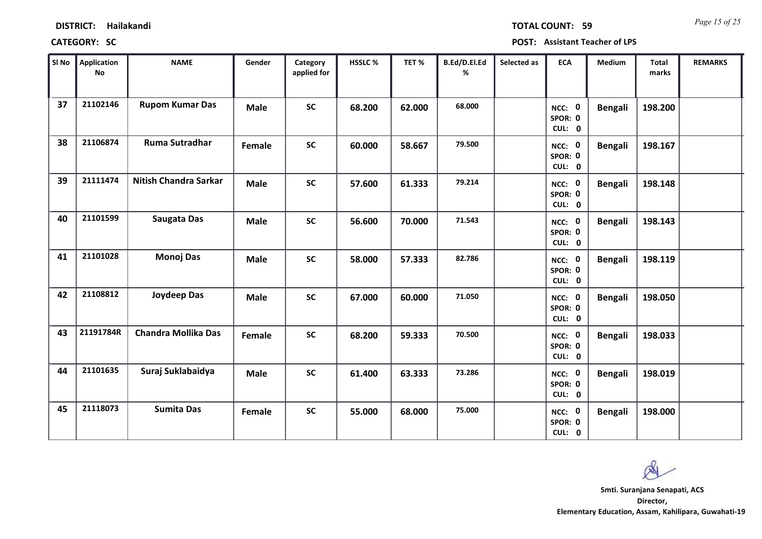*Page 15 of 25* **TOTAL COUNT: 59**

| SI No | <b>Application</b><br>$\mathop{\mathsf{No}}$ | <b>NAME</b>                  | Gender      | Category<br>applied for | HSSLC % | TET%   | B.Ed/D.El.Ed<br>% | Selected as | <b>ECA</b>                  | <b>Medium</b>  | Total<br>marks | <b>REMARKS</b> |
|-------|----------------------------------------------|------------------------------|-------------|-------------------------|---------|--------|-------------------|-------------|-----------------------------|----------------|----------------|----------------|
| 37    | 21102146                                     | <b>Rupom Kumar Das</b>       | <b>Male</b> | <b>SC</b>               | 68.200  | 62.000 | 68.000            |             | NCC: 0<br>SPOR: 0<br>CUL: 0 | <b>Bengali</b> | 198.200        |                |
| 38    | 21106874                                     | Ruma Sutradhar               | Female      | <b>SC</b>               | 60.000  | 58.667 | 79.500            |             | NCC: 0<br>SPOR: 0<br>CUL: 0 | <b>Bengali</b> | 198.167        |                |
| 39    | 21111474                                     | <b>Nitish Chandra Sarkar</b> | <b>Male</b> | <b>SC</b>               | 57.600  | 61.333 | 79.214            |             | NCC: 0<br>SPOR: 0<br>CUL: 0 | <b>Bengali</b> | 198.148        |                |
| 40    | 21101599                                     | Saugata Das                  | <b>Male</b> | <b>SC</b>               | 56.600  | 70.000 | 71.543            |             | NCC: 0<br>SPOR: 0<br>CUL: 0 | <b>Bengali</b> | 198.143        |                |
| 41    | 21101028                                     | <b>Monoj Das</b>             | <b>Male</b> | <b>SC</b>               | 58.000  | 57.333 | 82.786            |             | NCC: 0<br>SPOR: 0<br>CUL: 0 | <b>Bengali</b> | 198.119        |                |
| 42    | 21108812                                     | Joydeep Das                  | <b>Male</b> | <b>SC</b>               | 67.000  | 60.000 | 71.050            |             | NCC: 0<br>SPOR: 0<br>CUL: 0 | <b>Bengali</b> | 198.050        |                |
| 43    | 21191784R                                    | <b>Chandra Mollika Das</b>   | Female      | <b>SC</b>               | 68.200  | 59.333 | 70.500            |             | NCC: 0<br>SPOR: 0<br>CUL: 0 | <b>Bengali</b> | 198.033        |                |
| 44    | 21101635                                     | Suraj Suklabaidya            | <b>Male</b> | <b>SC</b>               | 61.400  | 63.333 | 73.286            |             | NCC: 0<br>SPOR: 0<br>CUL: 0 | <b>Bengali</b> | 198.019        |                |
| 45    | 21118073                                     | <b>Sumita Das</b>            | Female      | <b>SC</b>               | 55.000  | 68.000 | 75.000            |             | NCC: 0<br>SPOR: 0<br>CUL: 0 | <b>Bengali</b> | 198.000        |                |

 $\infty$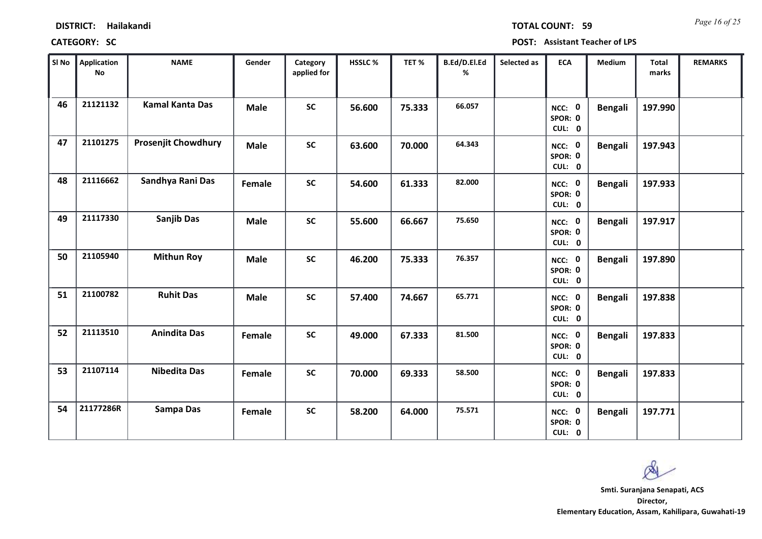*Page 16 of 25* **TOTAL COUNT: 59**

| SI No | Application<br>No | <b>NAME</b>                | Gender      | Category<br>applied for | HSSLC % | TET%   | B.Ed/D.El.Ed<br>% | Selected as | <b>ECA</b>                  | Medium         | <b>Total</b><br>marks | <b>REMARKS</b> |
|-------|-------------------|----------------------------|-------------|-------------------------|---------|--------|-------------------|-------------|-----------------------------|----------------|-----------------------|----------------|
| 46    | 21121132          | <b>Kamal Kanta Das</b>     | <b>Male</b> | <b>SC</b>               | 56.600  | 75.333 | 66.057            |             | NCC: 0<br>SPOR: 0<br>CUL: 0 | <b>Bengali</b> | 197.990               |                |
| 47    | 21101275          | <b>Prosenjit Chowdhury</b> | <b>Male</b> | <b>SC</b>               | 63.600  | 70.000 | 64.343            |             | NCC: 0<br>SPOR: 0<br>CUL: 0 | <b>Bengali</b> | 197.943               |                |
| 48    | 21116662          | Sandhya Rani Das           | Female      | <b>SC</b>               | 54.600  | 61.333 | 82.000            |             | NCC: 0<br>SPOR: 0<br>CUL: 0 | <b>Bengali</b> | 197.933               |                |
| 49    | 21117330          | <b>Sanjib Das</b>          | <b>Male</b> | <b>SC</b>               | 55.600  | 66.667 | 75.650            |             | NCC: 0<br>SPOR: 0<br>CUL: 0 | <b>Bengali</b> | 197.917               |                |
| 50    | 21105940          | <b>Mithun Roy</b>          | <b>Male</b> | <b>SC</b>               | 46.200  | 75.333 | 76.357            |             | NCC: 0<br>SPOR: 0<br>CUL: 0 | <b>Bengali</b> | 197.890               |                |
| 51    | 21100782          | <b>Ruhit Das</b>           | <b>Male</b> | <b>SC</b>               | 57.400  | 74.667 | 65.771            |             | NCC: 0<br>SPOR: 0<br>CUL: 0 | <b>Bengali</b> | 197.838               |                |
| 52    | 21113510          | <b>Anindita Das</b>        | Female      | <b>SC</b>               | 49.000  | 67.333 | 81.500            |             | NCC: 0<br>SPOR: 0<br>CUL: 0 | <b>Bengali</b> | 197.833               |                |
| 53    | 21107114          | <b>Nibedita Das</b>        | Female      | <b>SC</b>               | 70.000  | 69.333 | 58.500            |             | NCC: 0<br>SPOR: 0<br>CUL: 0 | <b>Bengali</b> | 197.833               |                |
| 54    | 21177286R         | <b>Sampa Das</b>           | Female      | <b>SC</b>               | 58.200  | 64.000 | 75.571            |             | NCC: 0<br>SPOR: 0<br>CUL: 0 | <b>Bengali</b> | 197.771               |                |

 $\infty$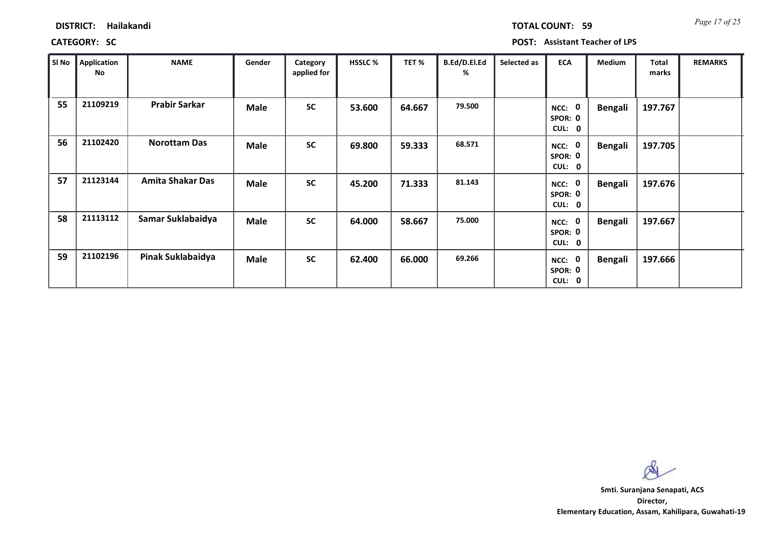*Page 17 of 25* **TOTAL COUNT: 59**

| SI No | <b>Application</b><br>No | <b>NAME</b>             | Gender      | Category<br>applied for | <b>HSSLC %</b> | TET%   | B.Ed/D.El.Ed<br>℅ | Selected as | <b>ECA</b>                  | <b>Medium</b>  | <b>Total</b><br>marks | <b>REMARKS</b> |
|-------|--------------------------|-------------------------|-------------|-------------------------|----------------|--------|-------------------|-------------|-----------------------------|----------------|-----------------------|----------------|
| 55    | 21109219                 | <b>Prabir Sarkar</b>    | <b>Male</b> | <b>SC</b>               | 53.600         | 64.667 | 79.500            |             | NCC: 0<br>SPOR: 0<br>CUL: 0 | <b>Bengali</b> | 197.767               |                |
| 56    | 21102420                 | <b>Norottam Das</b>     | <b>Male</b> | <b>SC</b>               | 69.800         | 59.333 | 68.571            |             | NCC: 0<br>SPOR: 0<br>CUL: 0 | <b>Bengali</b> | 197.705               |                |
| 57    | 21123144                 | <b>Amita Shakar Das</b> | <b>Male</b> | <b>SC</b>               | 45.200         | 71.333 | 81.143            |             | NCC: 0<br>SPOR: 0<br>CUL: 0 | <b>Bengali</b> | 197.676               |                |
| 58    | 21113112                 | Samar Suklabaidya       | <b>Male</b> | <b>SC</b>               | 64.000         | 58.667 | 75.000            |             | NCC: 0<br>SPOR: 0<br>CUL: 0 | <b>Bengali</b> | 197.667               |                |
| 59    | 21102196                 | Pinak Suklabaidya       | Male        | <b>SC</b>               | 62.400         | 66.000 | 69.266            |             | NCC: 0<br>SPOR: 0<br>CUL: 0 | <b>Bengali</b> | 197.666               |                |

 $\infty$ **Smti. Suranjana Senapati, ACS**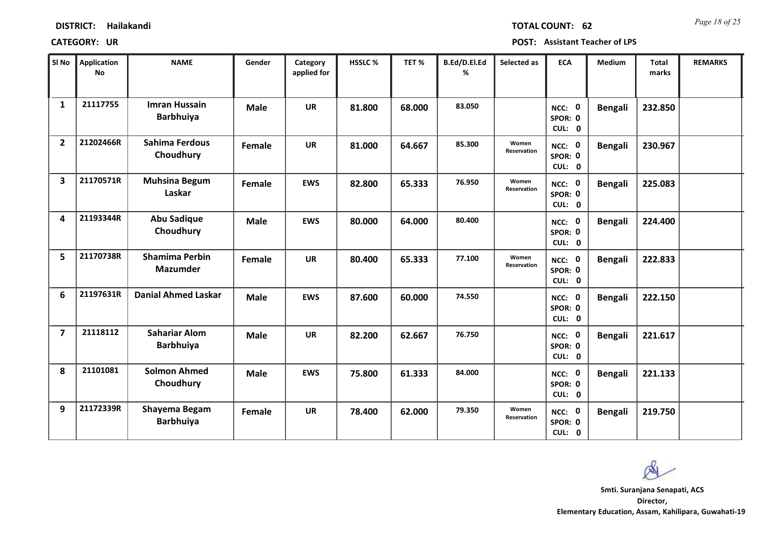*Page 18 of 25* **TOTAL COUNT: 62**

| SI No                   | <b>Application</b><br>No | <b>NAME</b>                              | Gender      | Category<br>applied for | <b>HSSLC %</b> | TET %  | B.Ed/D.El.Ed<br>% | Selected as          | <b>ECA</b>                  | <b>Medium</b>  | <b>Total</b><br>marks | <b>REMARKS</b> |
|-------------------------|--------------------------|------------------------------------------|-------------|-------------------------|----------------|--------|-------------------|----------------------|-----------------------------|----------------|-----------------------|----------------|
| $\mathbf{1}$            | 21117755                 | <b>Imran Hussain</b><br><b>Barbhuiya</b> | <b>Male</b> | <b>UR</b>               | 81.800         | 68.000 | 83.050            |                      | NCC: 0<br>SPOR: 0<br>CUL: 0 | <b>Bengali</b> | 232.850               |                |
| $\overline{2}$          | 21202466R                | <b>Sahima Ferdous</b><br>Choudhury       | Female      | <b>UR</b>               | 81.000         | 64.667 | 85.300            | Women<br>Reservation | NCC: 0<br>SPOR: 0<br>CUL: 0 | <b>Bengali</b> | 230.967               |                |
| $\overline{\mathbf{3}}$ | 21170571R                | <b>Muhsina Begum</b><br>Laskar           | Female      | <b>EWS</b>              | 82.800         | 65.333 | 76.950            | Women<br>Reservation | NCC: 0<br>SPOR: 0<br>CUL: 0 | <b>Bengali</b> | 225.083               |                |
| 4                       | 21193344R                | <b>Abu Sadique</b><br>Choudhury          | <b>Male</b> | <b>EWS</b>              | 80.000         | 64.000 | 80.400            |                      | NCC: 0<br>SPOR: 0<br>CUL: 0 | <b>Bengali</b> | 224.400               |                |
| 5                       | 21170738R                | <b>Shamima Perbin</b><br><b>Mazumder</b> | Female      | <b>UR</b>               | 80.400         | 65.333 | 77.100            | Women<br>Reservation | NCC: 0<br>SPOR: 0<br>CUL: 0 | <b>Bengali</b> | 222.833               |                |
| 6                       | 21197631R                | <b>Danial Ahmed Laskar</b>               | <b>Male</b> | <b>EWS</b>              | 87.600         | 60.000 | 74.550            |                      | NCC: 0<br>SPOR: 0<br>CUL: 0 | <b>Bengali</b> | 222.150               |                |
| $\overline{7}$          | 21118112                 | <b>Sahariar Alom</b><br><b>Barbhuiya</b> | <b>Male</b> | <b>UR</b>               | 82.200         | 62.667 | 76.750            |                      | NCC: 0<br>SPOR: 0<br>CUL: 0 | <b>Bengali</b> | 221.617               |                |
| 8                       | 21101081                 | <b>Solmon Ahmed</b><br>Choudhury         | <b>Male</b> | <b>EWS</b>              | 75.800         | 61.333 | 84.000            |                      | NCC: 0<br>SPOR: 0<br>CUL: 0 | <b>Bengali</b> | 221.133               |                |
| 9                       | 21172339R                | Shayema Begam<br><b>Barbhuiya</b>        | Female      | <b>UR</b>               | 78.400         | 62.000 | 79.350            | Women<br>Reservation | NCC: 0<br>SPOR: 0<br>CUL: 0 | <b>Bengali</b> | 219.750               |                |

 $\infty$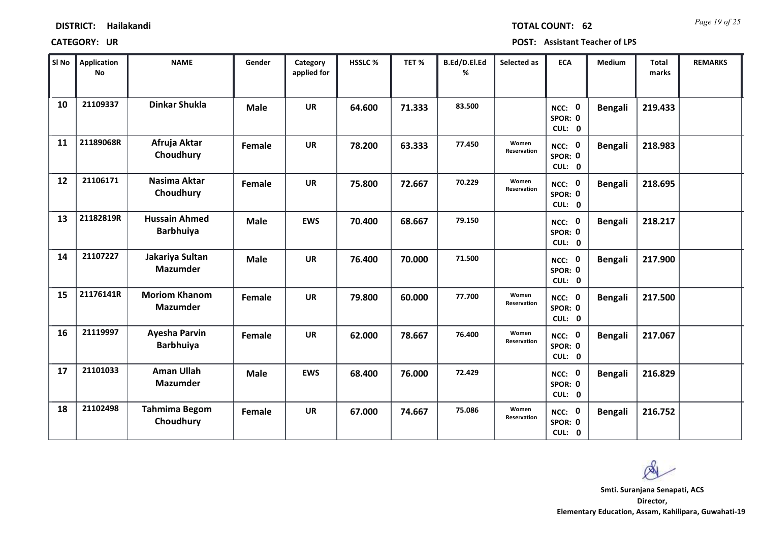| SI No | Application<br>No | <b>NAME</b>                              | Gender      | Category<br>applied for | <b>HSSLC%</b> | TET %  | B.Ed/D.El.Ed<br>% | Selected as          | <b>ECA</b>                  | <b>Medium</b>  | <b>Total</b><br>marks | <b>REMARKS</b> |
|-------|-------------------|------------------------------------------|-------------|-------------------------|---------------|--------|-------------------|----------------------|-----------------------------|----------------|-----------------------|----------------|
| 10    | 21109337          | <b>Dinkar Shukla</b>                     | <b>Male</b> | <b>UR</b>               | 64.600        | 71.333 | 83.500            |                      | NCC: 0<br>SPOR: 0<br>CUL: 0 | <b>Bengali</b> | 219.433               |                |
| 11    | 21189068R         | Afruja Aktar<br>Choudhury                | Female      | <b>UR</b>               | 78.200        | 63.333 | 77.450            | Women<br>Reservation | NCC: 0<br>SPOR: 0<br>CUL: 0 | <b>Bengali</b> | 218.983               |                |
| 12    | 21106171          | Nasima Aktar<br>Choudhury                | Female      | <b>UR</b>               | 75.800        | 72.667 | 70.229            | Women<br>Reservation | NCC: 0<br>SPOR: 0<br>CUL: 0 | <b>Bengali</b> | 218.695               |                |
| 13    | 21182819R         | <b>Hussain Ahmed</b><br><b>Barbhuiya</b> | <b>Male</b> | <b>EWS</b>              | 70.400        | 68.667 | 79.150            |                      | NCC: 0<br>SPOR: 0<br>CUL: 0 | <b>Bengali</b> | 218.217               |                |
| 14    | 21107227          | Jakariya Sultan<br><b>Mazumder</b>       | <b>Male</b> | <b>UR</b>               | 76.400        | 70.000 | 71.500            |                      | NCC: 0<br>SPOR: 0<br>CUL: 0 | <b>Bengali</b> | 217.900               |                |
| 15    | 21176141R         | <b>Moriom Khanom</b><br><b>Mazumder</b>  | Female      | <b>UR</b>               | 79.800        | 60.000 | 77.700            | Women<br>Reservation | NCC: 0<br>SPOR: 0<br>CUL: 0 | <b>Bengali</b> | 217.500               |                |
| 16    | 21119997          | Ayesha Parvin<br><b>Barbhuiya</b>        | Female      | <b>UR</b>               | 62.000        | 78.667 | 76.400            | Women<br>Reservation | NCC: 0<br>SPOR: 0<br>CUL: 0 | <b>Bengali</b> | 217.067               |                |
| 17    | 21101033          | <b>Aman Ullah</b><br><b>Mazumder</b>     | <b>Male</b> | <b>EWS</b>              | 68.400        | 76.000 | 72.429            |                      | NCC: 0<br>SPOR: 0<br>CUL: 0 | <b>Bengali</b> | 216.829               |                |
| 18    | 21102498          | <b>Tahmima Begom</b><br>Choudhury        | Female      | <b>UR</b>               | 67.000        | 74.667 | 75.086            | Women<br>Reservation | NCC: 0<br>SPOR: 0<br>CUL: 0 | <b>Bengali</b> | 216.752               |                |

 $\infty$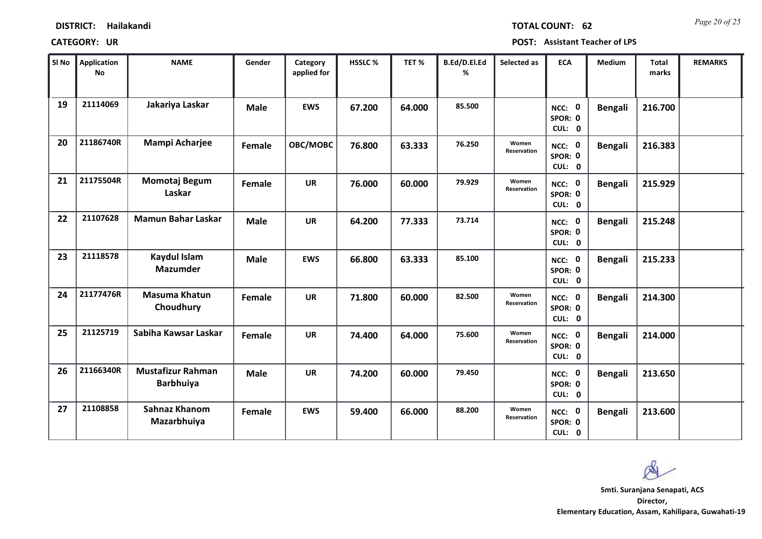| SI No | <b>Application</b><br><b>No</b> | <b>NAME</b>                                  | Gender      | Category<br>applied for | HSSLC % | TET %  | B.Ed/D.El.Ed<br>% | Selected as          | <b>ECA</b>                  | <b>Medium</b>  | <b>Total</b><br>marks | <b>REMARKS</b> |
|-------|---------------------------------|----------------------------------------------|-------------|-------------------------|---------|--------|-------------------|----------------------|-----------------------------|----------------|-----------------------|----------------|
| 19    | 21114069                        | Jakariya Laskar                              | <b>Male</b> | <b>EWS</b>              | 67.200  | 64.000 | 85.500            |                      | NCC: 0<br>SPOR: 0<br>CUL: 0 | <b>Bengali</b> | 216.700               |                |
| 20    | 21186740R                       | Mampi Acharjee                               | Female      | OBC/MOBC                | 76.800  | 63.333 | 76.250            | Women<br>Reservation | NCC: 0<br>SPOR: 0<br>CUL: 0 | <b>Bengali</b> | 216.383               |                |
| 21    | 21175504R                       | Momotaj Begum<br>Laskar                      | Female      | <b>UR</b>               | 76.000  | 60.000 | 79.929            | Women<br>Reservation | NCC: 0<br>SPOR: 0<br>CUL: 0 | <b>Bengali</b> | 215.929               |                |
| 22    | 21107628                        | <b>Mamun Bahar Laskar</b>                    | <b>Male</b> | <b>UR</b>               | 64.200  | 77.333 | 73.714            |                      | NCC: 0<br>SPOR: 0<br>CUL: 0 | <b>Bengali</b> | 215.248               |                |
| 23    | 21118578                        | Kaydul Islam<br><b>Mazumder</b>              | <b>Male</b> | <b>EWS</b>              | 66.800  | 63.333 | 85.100            |                      | NCC: 0<br>SPOR: 0<br>CUL: 0 | <b>Bengali</b> | 215.233               |                |
| 24    | 21177476R                       | <b>Masuma Khatun</b><br>Choudhury            | Female      | <b>UR</b>               | 71.800  | 60.000 | 82.500            | Women<br>Reservation | NCC: 0<br>SPOR: 0<br>CUL: 0 | <b>Bengali</b> | 214.300               |                |
| 25    | 21125719                        | Sabiha Kawsar Laskar                         | Female      | <b>UR</b>               | 74.400  | 64.000 | 75.600            | Women<br>Reservation | NCC: 0<br>SPOR: 0<br>CUL: 0 | <b>Bengali</b> | 214.000               |                |
| 26    | 21166340R                       | <b>Mustafizur Rahman</b><br><b>Barbhuiya</b> | <b>Male</b> | <b>UR</b>               | 74.200  | 60.000 | 79.450            |                      | NCC: 0<br>SPOR: 0<br>CUL: 0 | <b>Bengali</b> | 213.650               |                |
| 27    | 21108858                        | <b>Sahnaz Khanom</b><br>Mazarbhuiya          | Female      | <b>EWS</b>              | 59.400  | 66.000 | 88.200            | Women<br>Reservation | NCC: 0<br>SPOR: 0<br>CUL: 0 | <b>Bengali</b> | 213.600               |                |

 $\infty$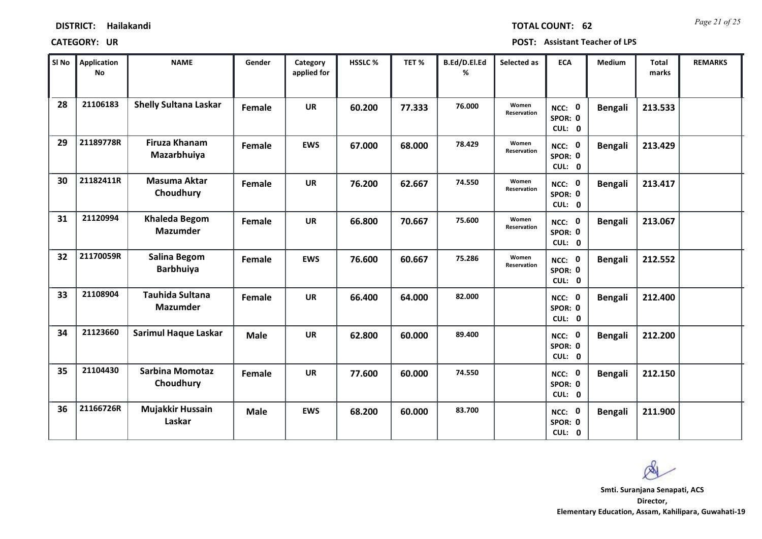| <b>DISTRICT:</b> | Hailakandi |
|------------------|------------|
|------------------|------------|

*Page 21 of 25* **TOTAL COUNT: 62**

**CATEGORY: UR POST: Assistant Teacher of LPS**

| SI No | <b>Application</b><br><b>No</b> | <b>NAME</b>                               | Gender      | Category<br>applied for | HSSLC % | TET%   | B.Ed/D.El.Ed<br>% | Selected as                 | <b>ECA</b>                  | Medium         | Total<br>marks | <b>REMARKS</b> |
|-------|---------------------------------|-------------------------------------------|-------------|-------------------------|---------|--------|-------------------|-----------------------------|-----------------------------|----------------|----------------|----------------|
| 28    | 21106183                        | <b>Shelly Sultana Laskar</b>              | Female      | <b>UR</b>               | 60.200  | 77.333 | 76.000            | Women<br><b>Reservation</b> | NCC: 0<br>SPOR: 0<br>CUL: 0 | <b>Bengali</b> | 213.533        |                |
| 29    | 21189778R                       | <b>Firuza Khanam</b><br>Mazarbhuiya       | Female      | <b>EWS</b>              | 67.000  | 68.000 | 78.429            | Women<br>Reservation        | NCC: 0<br>SPOR: 0<br>CUL: 0 | <b>Bengali</b> | 213.429        |                |
| 30    | 21182411R                       | <b>Masuma Aktar</b><br>Choudhury          | Female      | <b>UR</b>               | 76.200  | 62.667 | 74.550            | Women<br><b>Reservation</b> | NCC: 0<br>SPOR: 0<br>CUL: 0 | <b>Bengali</b> | 213.417        |                |
| 31    | 21120994                        | <b>Khaleda Begom</b><br><b>Mazumder</b>   | Female      | <b>UR</b>               | 66.800  | 70.667 | 75.600            | Women<br>Reservation        | NCC: 0<br>SPOR: 0<br>CUL: 0 | <b>Bengali</b> | 213.067        |                |
| 32    | 21170059R                       | <b>Salina Begom</b><br><b>Barbhuiya</b>   | Female      | <b>EWS</b>              | 76.600  | 60.667 | 75.286            | Women<br>Reservation        | NCC: 0<br>SPOR: 0<br>CUL: 0 | <b>Bengali</b> | 212.552        |                |
| 33    | 21108904                        | <b>Tauhida Sultana</b><br><b>Mazumder</b> | Female      | <b>UR</b>               | 66.400  | 64.000 | 82.000            |                             | NCC: 0<br>SPOR: 0<br>CUL: 0 | <b>Bengali</b> | 212.400        |                |
| 34    | 21123660                        | <b>Sarimul Haque Laskar</b>               | <b>Male</b> | <b>UR</b>               | 62.800  | 60.000 | 89.400            |                             | NCC: 0<br>SPOR: 0<br>CUL: 0 | <b>Bengali</b> | 212.200        |                |
| 35    | 21104430                        | <b>Sarbina Momotaz</b><br>Choudhury       | Female      | <b>UR</b>               | 77.600  | 60.000 | 74.550            |                             | NCC: 0<br>SPOR: 0<br>CUL: 0 | <b>Bengali</b> | 212.150        |                |
| 36    | 21166726R                       | Mujakkir Hussain<br>Laskar                | <b>Male</b> | <b>EWS</b>              | 68.200  | 60.000 | 83.700            |                             | NCC: 0<br>SPOR: 0<br>CUL: 0 | <b>Bengali</b> | 211.900        |                |

 $\infty$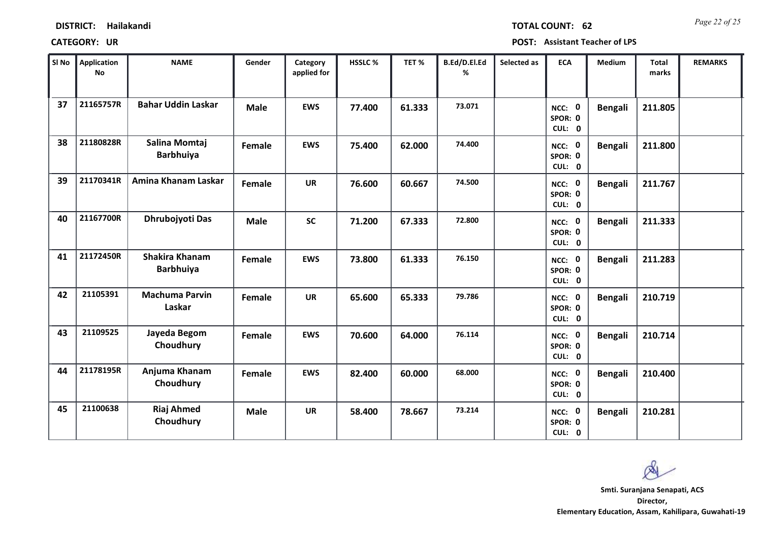*Page 22 of 25* **TOTAL COUNT: 62**

| SI No | <b>Application</b><br>No | <b>NAME</b>                               | Gender      | Category<br>applied for | HSSLC % | TET %  | B.Ed/D.El.Ed<br>% | Selected as | <b>ECA</b>                  | <b>Medium</b>  | <b>Total</b><br>marks | <b>REMARKS</b> |
|-------|--------------------------|-------------------------------------------|-------------|-------------------------|---------|--------|-------------------|-------------|-----------------------------|----------------|-----------------------|----------------|
| 37    | 21165757R                | <b>Bahar Uddin Laskar</b>                 | <b>Male</b> | <b>EWS</b>              | 77.400  | 61.333 | 73.071            |             | NCC: 0<br>SPOR: 0<br>CUL: 0 | <b>Bengali</b> | 211.805               |                |
| 38    | 21180828R                | Salina Momtaj<br><b>Barbhuiya</b>         | Female      | <b>EWS</b>              | 75.400  | 62.000 | 74.400            |             | NCC: 0<br>SPOR: 0<br>CUL: 0 | <b>Bengali</b> | 211.800               |                |
| 39    | 21170341R                | Amina Khanam Laskar                       | Female      | <b>UR</b>               | 76.600  | 60.667 | 74.500            |             | NCC: 0<br>SPOR: 0<br>CUL: 0 | <b>Bengali</b> | 211.767               |                |
| 40    | 21167700R                | Dhrubojyoti Das                           | <b>Male</b> | <b>SC</b>               | 71.200  | 67.333 | 72.800            |             | NCC: 0<br>SPOR: 0<br>CUL: 0 | <b>Bengali</b> | 211.333               |                |
| 41    | 21172450R                | <b>Shakira Khanam</b><br><b>Barbhuiya</b> | Female      | <b>EWS</b>              | 73.800  | 61.333 | 76.150            |             | NCC: 0<br>SPOR: 0<br>CUL: 0 | <b>Bengali</b> | 211.283               |                |
| 42    | 21105391                 | <b>Machuma Parvin</b><br>Laskar           | Female      | <b>UR</b>               | 65.600  | 65.333 | 79.786            |             | NCC: 0<br>SPOR: 0<br>CUL: 0 | <b>Bengali</b> | 210.719               |                |
| 43    | 21109525                 | Jayeda Begom<br>Choudhury                 | Female      | <b>EWS</b>              | 70.600  | 64.000 | 76.114            |             | NCC: 0<br>SPOR: 0<br>CUL: 0 | <b>Bengali</b> | 210.714               |                |
| 44    | 21178195R                | Anjuma Khanam<br>Choudhury                | Female      | <b>EWS</b>              | 82.400  | 60.000 | 68.000            |             | NCC: 0<br>SPOR: 0<br>CUL: 0 | <b>Bengali</b> | 210.400               |                |
| 45    | 21100638                 | <b>Riaj Ahmed</b><br>Choudhury            | <b>Male</b> | <b>UR</b>               | 58.400  | 78.667 | 73.214            |             | NCC: 0<br>SPOR: 0<br>CUL: 0 | <b>Bengali</b> | 210.281               |                |

 $\infty$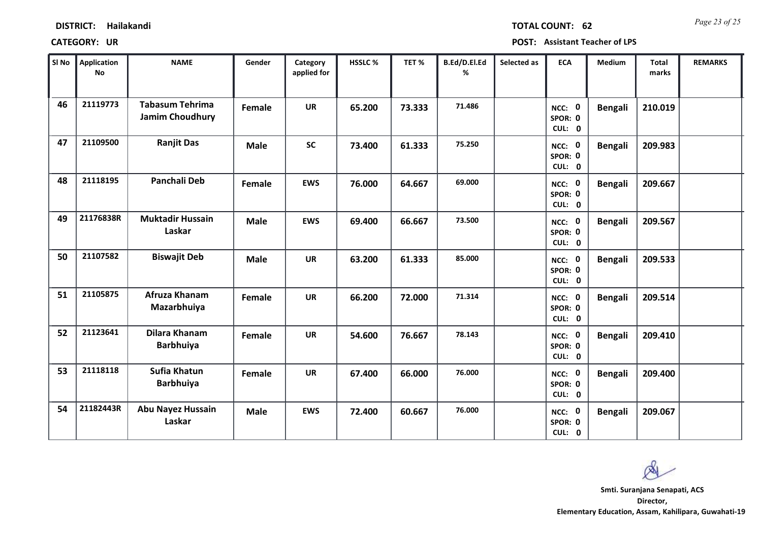*Page 23 of 25* **TOTAL COUNT: 62**

| SI No | Application<br>No | <b>NAME</b>                                      | Gender        | Category<br>applied for | <b>HSSLC%</b> | TET %  | B.Ed/D.El.Ed<br>% | Selected as | <b>ECA</b>                  | <b>Medium</b>  | Total<br>marks | <b>REMARKS</b> |
|-------|-------------------|--------------------------------------------------|---------------|-------------------------|---------------|--------|-------------------|-------------|-----------------------------|----------------|----------------|----------------|
| 46    | 21119773          | <b>Tabasum Tehrima</b><br><b>Jamim Choudhury</b> | Female        | <b>UR</b>               | 65.200        | 73.333 | 71.486            |             | NCC: 0<br>SPOR: 0<br>CUL: 0 | <b>Bengali</b> | 210.019        |                |
| 47    | 21109500          | <b>Ranjit Das</b>                                | <b>Male</b>   | <b>SC</b>               | 73.400        | 61.333 | 75.250            |             | NCC: 0<br>SPOR: 0<br>CUL: 0 | <b>Bengali</b> | 209.983        |                |
| 48    | 21118195          | <b>Panchali Deb</b>                              | Female        | <b>EWS</b>              | 76.000        | 64.667 | 69.000            |             | NCC: 0<br>SPOR: 0<br>CUL: 0 | <b>Bengali</b> | 209.667        |                |
| 49    | 21176838R         | <b>Muktadir Hussain</b><br>Laskar                | <b>Male</b>   | <b>EWS</b>              | 69.400        | 66.667 | 73.500            |             | NCC: 0<br>SPOR: 0<br>CUL: 0 | <b>Bengali</b> | 209.567        |                |
| 50    | 21107582          | <b>Biswajit Deb</b>                              | <b>Male</b>   | <b>UR</b>               | 63.200        | 61.333 | 85.000            |             | NCC: 0<br>SPOR: 0<br>CUL: 0 | <b>Bengali</b> | 209.533        |                |
| 51    | 21105875          | Afruza Khanam<br>Mazarbhuiya                     | <b>Female</b> | <b>UR</b>               | 66.200        | 72.000 | 71.314            |             | NCC: 0<br>SPOR: 0<br>CUL: 0 | <b>Bengali</b> | 209.514        |                |
| 52    | 21123641          | Dilara Khanam<br><b>Barbhuiya</b>                | Female        | <b>UR</b>               | 54.600        | 76.667 | 78.143            |             | NCC: 0<br>SPOR: 0<br>CUL: 0 | <b>Bengali</b> | 209.410        |                |
| 53    | 21118118          | Sufia Khatun<br><b>Barbhuiya</b>                 | Female        | <b>UR</b>               | 67.400        | 66.000 | 76.000            |             | NCC: 0<br>SPOR: 0<br>CUL: 0 | <b>Bengali</b> | 209.400        |                |
| 54    | 21182443R         | <b>Abu Nayez Hussain</b><br>Laskar               | <b>Male</b>   | <b>EWS</b>              | 72.400        | 60.667 | 76.000            |             | NCC: 0<br>SPOR: 0<br>CUL: 0 | <b>Bengali</b> | 209.067        |                |

Ø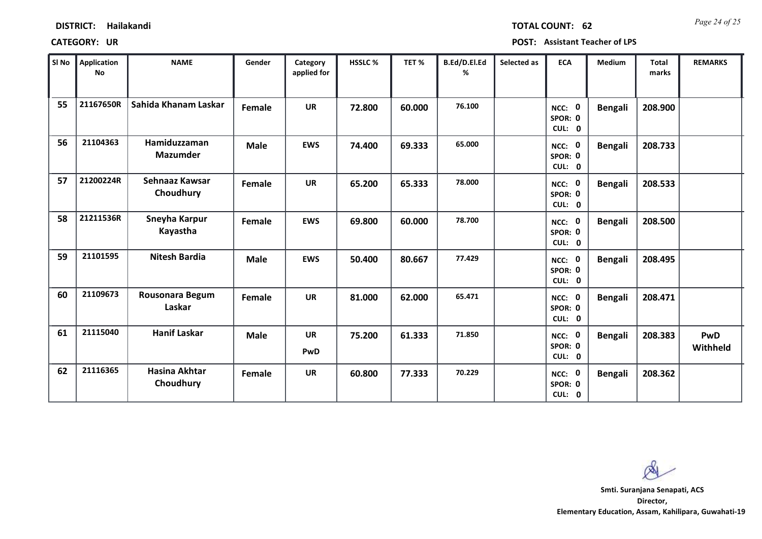| <b>DISTRICT:</b> | Hailakandi |
|------------------|------------|
|------------------|------------|

*Page 24 of 25* **TOTAL COUNT: 62**

**CATEGORY: UR POST: Assistant Teacher of LPS**

| SI No | Application<br>No | <b>NAME</b>                       | Gender      | Category<br>applied for | HSSLC% | TET%   | B.Ed/D.El.Ed<br>% | Selected as | <b>ECA</b>                  | <b>Medium</b>  | <b>Total</b><br>marks | <b>REMARKS</b>  |
|-------|-------------------|-----------------------------------|-------------|-------------------------|--------|--------|-------------------|-------------|-----------------------------|----------------|-----------------------|-----------------|
| 55    | 21167650R         | Sahida Khanam Laskar              | Female      | <b>UR</b>               | 72.800 | 60.000 | 76.100            |             | NCC: 0<br>SPOR: 0<br>CUL: 0 | <b>Bengali</b> | 208.900               |                 |
| 56    | 21104363          | Hamiduzzaman<br><b>Mazumder</b>   | <b>Male</b> | <b>EWS</b>              | 74.400 | 69.333 | 65.000            |             | NCC: 0<br>SPOR: 0<br>CUL: 0 | <b>Bengali</b> | 208.733               |                 |
| 57    | 21200224R         | Sehnaaz Kawsar<br>Choudhury       | Female      | <b>UR</b>               | 65.200 | 65.333 | 78.000            |             | NCC: 0<br>SPOR: 0<br>CUL: 0 | <b>Bengali</b> | 208.533               |                 |
| 58    | 21211536R         | Sneyha Karpur<br>Kayastha         | Female      | <b>EWS</b>              | 69.800 | 60.000 | 78.700            |             | NCC: 0<br>SPOR: 0<br>CUL: 0 | <b>Bengali</b> | 208.500               |                 |
| 59    | 21101595          | <b>Nitesh Bardia</b>              | <b>Male</b> | <b>EWS</b>              | 50.400 | 80.667 | 77.429            |             | NCC: 0<br>SPOR: 0<br>CUL: 0 | <b>Bengali</b> | 208.495               |                 |
| 60    | 21109673          | Rousonara Begum<br>Laskar         | Female      | <b>UR</b>               | 81.000 | 62.000 | 65.471            |             | NCC: 0<br>SPOR: 0<br>CUL: 0 | <b>Bengali</b> | 208.471               |                 |
| 61    | 21115040          | <b>Hanif Laskar</b>               | <b>Male</b> | <b>UR</b><br>PwD        | 75.200 | 61.333 | 71.850            |             | NCC: 0<br>SPOR: 0<br>CUL: 0 | <b>Bengali</b> | 208.383               | PwD<br>Withheld |
| 62    | 21116365          | <b>Hasina Akhtar</b><br>Choudhury | Female      | <b>UR</b>               | 60.800 | 77.333 | 70.229            |             | NCC: 0<br>SPOR: 0<br>CUL: 0 | <b>Bengali</b> | 208.362               |                 |

 $\infty$